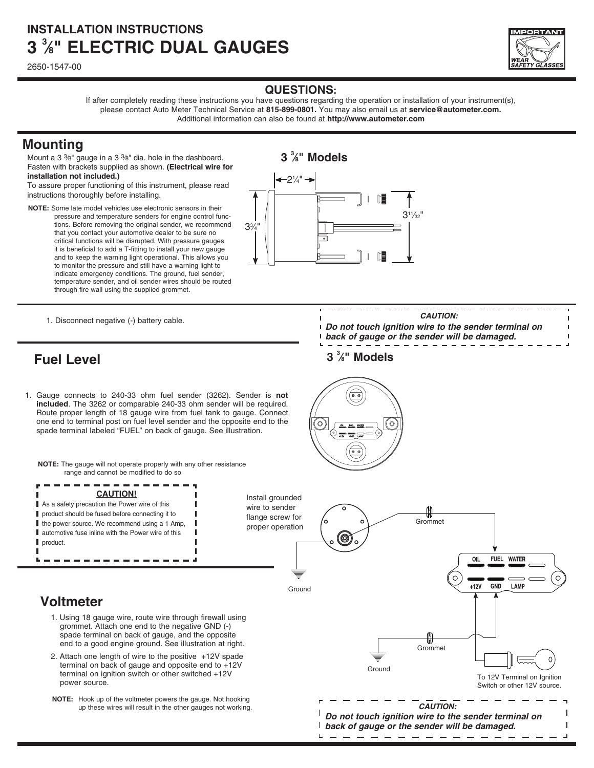# **INSTALLATION INSTRUCTIONS 3 3 ⁄8 " electric DUAL gauges**

2650-1547-00



### **QUESTIONS:**

If after completely reading these instructions you have questions regarding the operation or installation of your instrument(s), please contact Auto Meter Technical Service at **815-899-0801.** You may also email us at **service@autometer.com.** Additional information can also be found at **http://www.autometer.com**

**3 3 ⁄8" Models**

### **Mounting**

Mount a 3 3⁄8" gauge in a 3 3⁄8" dia. hole in the dashboard. Fasten with brackets supplied as shown. **(Electrical wire for installation not included.)**

To assure proper functioning of this instrument, please read instructions thoroughly before installing.

**NOTE:** Some late model vehicles use electronic sensors in their pressure and temperature senders for engine control functions. Before removing the original sender, we recommend that you contact your automotive dealer to be sure no critical functions will be disrupted. With pressure gauges it is beneficial to add a T-fitting to install your new gauge and to keep the warning light operational. This allows you to monitor the pressure and still have a warning light to indicate emergency conditions. The ground, fuel sender, temperature sender, and oil sender wires should be routed through fire wall using the supplied grommet.



1. Disconnect negative (-) battery cable.

## **Fuel Level**

1. Gauge connects to 240-33 ohm fuel sender (3262). Sender is **not included**. The 3262 or comparable 240-33 ohm sender will be required. Route proper length of 18 gauge wire from fuel tank to gauge. Connect one end to terminal post on fuel level sender and the opposite end to the spade terminal labeled "FUEL" on back of gauge. See illustration.

**NOTE:** The gauge will not operate properly with any other resistance range and cannot be modified to do so



Install grounded wire to sender flange screw for proper operation

L

## **Voltmeter**

- 1. Using 18 gauge wire, route wire through firewall using grommet. Attach one end to the negative GND (-) spade terminal on back of gauge, and the opposite end to a good engine ground. See illustration at right.
- 2. Attach one length of wire to the positive +12V spade terminal on back of gauge and opposite end to +12V terminal on ignition switch or other switched +12V power source.
- **NOTE:** Hook up of the voltmeter powers the gauge. Not hooking up these wires will result in the other gauges not working.
- Grommet **FUEL WATER** OIL GND LAMP  $+12V$ GroundGrommet **Ground** To 12V Terminal on Ignition Switch or other 12V source. **CAUTION: Do not touch ignition wire to the sender terminal on back of gauge or the sender will be damaged.**





- **Do not touch ignition wire to the sender terminal on back of gauge or the sender will be damaged.**
	- **3 3 ⁄8" Models**